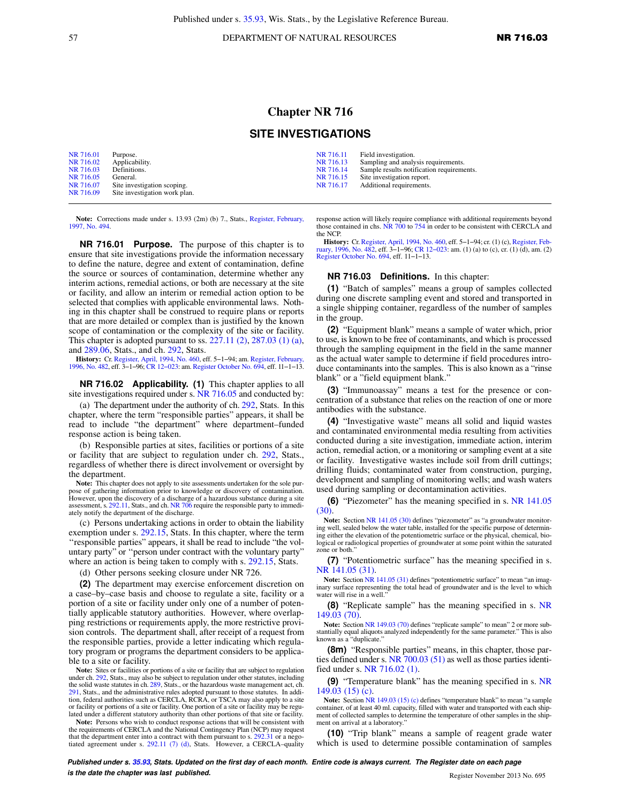57 DEPARTMENT OF NATURAL RESOURCES **NR 716.03** 

## **Chapter NR 716**

## **SITE INVESTIGATIONS**

| NR 716.01 | Purpose.                      | NR 716.11 | Field investigation.                      |
|-----------|-------------------------------|-----------|-------------------------------------------|
| NR 716.02 | Applicability.                | NR 716.13 | Sampling and analysis requirements.       |
| NR 716.03 | Definitions.                  | NR 716.14 | Sample results notification requirements. |
| NR 716.05 | General.                      | NR 716.15 | Site investigation report.                |
| NR 716.07 | Site investigation scoping.   | NR 716.17 | Additional requirements.                  |
| NR 716.09 | Site investigation work plan. |           |                                           |

Note: Corrections made under s. 13.93 (2m) (b) 7., Stats., [Register, February,](https://docs.legis.wisconsin.gov/document/register/494/B/toc) [1997, No. 494.](https://docs.legis.wisconsin.gov/document/register/494/B/toc)

**NR 716.01 Purpose.** The purpose of this chapter is to ensure that site investigations provide the information necessary to define the nature, degree and extent of contamination, define the source or sources of contamination, determine whether any interim actions, remedial actions, or both are necessary at the site or facility, and allow an interim or remedial action option to be selected that complies with applicable environmental laws. Nothing in this chapter shall be construed to require plans or reports that are more detailed or complex than is justified by the known scope of contamination or the complexity of the site or facility. This chapter is adopted pursuant to ss. [227.11 \(2\),](https://docs.legis.wisconsin.gov/document/statutes/227.11(2)) [287.03 \(1\) \(a\),](https://docs.legis.wisconsin.gov/document/statutes/287.03(1)(a)) and [289.06](https://docs.legis.wisconsin.gov/document/statutes/289.06), Stats., and ch. [292,](https://docs.legis.wisconsin.gov/document/statutes/ch.%20292) Stats.

**History:** Cr. [Register, April, 1994, No. 460,](https://docs.legis.wisconsin.gov/document/register/460/B/toc) eff. 5−1−94; am. [Register, February,](https://docs.legis.wisconsin.gov/document/register/482/B/toc) [1996, No. 482,](https://docs.legis.wisconsin.gov/document/register/482/B/toc) eff. 3−1−96; [CR 12−023:](https://docs.legis.wisconsin.gov/document/cr/2012/23) am. [Register October No. 694](https://docs.legis.wisconsin.gov/document/register/694/B/toc), eff. 11−1−13.

**NR 716.02 Applicability. (1)** This chapter applies to all site investigations required under s. [NR 716.05](https://docs.legis.wisconsin.gov/document/administrativecode/NR%20716.05) and conducted by:

(a) The department under the authority of ch. [292,](https://docs.legis.wisconsin.gov/document/statutes/ch.%20292) Stats. In this chapter, where the term "responsible parties" appears, it shall be read to include "the department" where department–funded response action is being taken.

(b) Responsible parties at sites, facilities or portions of a site or facility that are subject to regulation under ch. [292](https://docs.legis.wisconsin.gov/document/statutes/ch.%20292), Stats., regardless of whether there is direct involvement or oversight by the department.

**Note:** This chapter does not apply to site assessments undertaken for the sole purpose of gathering information prior to knowledge or discovery of contamination. However, upon the discovery of a discharge of a hazardous substance during a site assessment, s. [292.11](https://docs.legis.wisconsin.gov/document/statutes/292.11), Stats., and ch. [NR 706](https://docs.legis.wisconsin.gov/document/administrativecode/ch.%20NR%20706) require the responsible party to immediately notify the department of the discharge.

(c) Persons undertaking actions in order to obtain the liability exemption under s. [292.15,](https://docs.legis.wisconsin.gov/document/statutes/292.15) Stats. In this chapter, where the term ''responsible parties" appears, it shall be read to include "the voluntary party" or ''person under contract with the voluntary party" where an action is being taken to comply with s. [292.15,](https://docs.legis.wisconsin.gov/document/statutes/292.15) Stats.

(d) Other persons seeking closure under NR 726.

**(2)** The department may exercise enforcement discretion on a case–by–case basis and choose to regulate a site, facility or a portion of a site or facility under only one of a number of potentially applicable statutory authorities. However, where overlapping restrictions or requirements apply, the more restrictive provision controls. The department shall, after receipt of a request from the responsible parties, provide a letter indicating which regulatory program or programs the department considers to be applicable to a site or facility.

Note: Sites or facilities or portions of a site or facility that are subject to regulation under ch. [292](https://docs.legis.wisconsin.gov/document/statutes/ch.%20292), Stats., may also be subject to regulation under other statutes, including the solid waste statutes in ch. [289](https://docs.legis.wisconsin.gov/document/statutes/ch.%20289), Stats., or the hazardous waste management act, ch. [291](https://docs.legis.wisconsin.gov/document/statutes/ch.%20291), Stats., and the administrative rules adopted pursuant to those statutes. In addition, federal authorities such as CERCLA, RCRA, or TSCA may also apply to a site or facility or portions of a site or facility. One portion of a site or facility may be regulated under a different statutory authority than other portions of that site or facility.

**Note:** Persons who wish to conduct response actions that will be consistent with the requirements of CERCLA and the National Contingency Plan (NCP) may request that the department enter into a contract with them pursuant to s. [292.31](https://docs.legis.wisconsin.gov/document/statutes/292.31) or a negotiated agreement under s. [292.11 \(7\) \(d\),](https://docs.legis.wisconsin.gov/document/statutes/292.11(7)(d)) Stats. However, a CERCLA–quality response action will likely require compliance with additional requirements beyond those contained in chs. [NR 700](https://docs.legis.wisconsin.gov/document/administrativecode/ch.%20NR%20700) to [754](https://docs.legis.wisconsin.gov/document/administrativecode/ch.%20NR%20754) in order to be consistent with CERCLA and the NCP.

**History:** Cr. [Register, April, 1994, No. 460](https://docs.legis.wisconsin.gov/document/register/460/B/toc), eff. 5−1−94; cr. (1) (c), [Register, Feb-](https://docs.legis.wisconsin.gov/document/register/482/B/toc)[ruary, 1996, No. 482,](https://docs.legis.wisconsin.gov/document/register/482/B/toc) eff. 3−1−96; [CR 12−023](https://docs.legis.wisconsin.gov/document/cr/2012/23): am. (1) (a) to (c), cr. (1) (d), am. (2) [Register October No. 694](https://docs.legis.wisconsin.gov/document/register/694/B/toc), eff. 11−1−13.

## **NR 716.03 Definitions.** In this chapter:

**(1)** "Batch of samples" means a group of samples collected during one discrete sampling event and stored and transported in a single shipping container, regardless of the number of samples in the group.

**(2)** "Equipment blank" means a sample of water which, prior to use, is known to be free of contaminants, and which is processed through the sampling equipment in the field in the same manner as the actual water sample to determine if field procedures introduce contaminants into the samples. This is also known as a "rinse blank" or a "field equipment blank."

**(3)** "Immunoassay" means a test for the presence or concentration of a substance that relies on the reaction of one or more antibodies with the substance.

**(4)** "Investigative waste" means all solid and liquid wastes and contaminated environmental media resulting from activities conducted during a site investigation, immediate action, interim action, remedial action, or a monitoring or sampling event at a site or facility. Investigative wastes include soil from drill cuttings; drilling fluids; contaminated water from construction, purging, development and sampling of monitoring wells; and wash waters used during sampling or decontamination activities.

**(6)** "Piezometer" has the meaning specified in s. [NR 141.05](https://docs.legis.wisconsin.gov/document/administrativecode/NR%20141.05(30)) [\(30\)](https://docs.legis.wisconsin.gov/document/administrativecode/NR%20141.05(30)).

**Note:** Section [NR 141.05 \(30\)](https://docs.legis.wisconsin.gov/document/administrativecode/NR%20141.05(30)) defines "piezometer" as "a groundwater monitoring well, sealed below the water table, installed for the specific purpose of determining either the elevation of the potentiometric surface or the physical, chemical, biological or radiological properties of groundwater at some point within the saturated zone or both.

**(7)** "Potentiometric surface" has the meaning specified in s. [NR 141.05 \(31\)](https://docs.legis.wisconsin.gov/document/administrativecode/NR%20141.05(31)).

Note: Section [NR 141.05 \(31\)](https://docs.legis.wisconsin.gov/document/administrativecode/NR%20141.05(31)) defines "potentiometric surface" to mean "an imaginary surface representing the total head of groundwater and is the level to which water will rise in a well.

**(8)** "Replicate sample" has the meaning specified in s. [NR](https://docs.legis.wisconsin.gov/document/administrativecode/NR%20149.03(70)) [149.03 \(70\)](https://docs.legis.wisconsin.gov/document/administrativecode/NR%20149.03(70)).

**Note:** Section [NR 149.03 \(70\)](https://docs.legis.wisconsin.gov/document/administrativecode/NR%20149.03(70)) defines "replicate sample" to mean" 2 or more substantially equal aliquots analyzed independently for the same parameter." This is also known as a "duplicate."

**(8m)** "Responsible parties" means, in this chapter, those parties defined under s. [NR 700.03 \(51\)](https://docs.legis.wisconsin.gov/document/administrativecode/NR%20700.03(51)) as well as those parties identified under s. [NR 716.02 \(1\).](https://docs.legis.wisconsin.gov/document/administrativecode/NR%20716.02(1))

**(9)** "Temperature blank" has the meaning specified in s. [NR](https://docs.legis.wisconsin.gov/document/administrativecode/NR%20149.03(15)(c)) [149.03 \(15\) \(c\).](https://docs.legis.wisconsin.gov/document/administrativecode/NR%20149.03(15)(c))

Note: Section [NR 149.03 \(15\) \(c\)](https://docs.legis.wisconsin.gov/document/administrativecode/NR%20149.03(15)(c)) defines "temperature blank" to mean "a sample container, of at least 40 ml. capacity, filled with water and transported with each ship-ment of collected samples to determine the temperature of other samples in the shipment on arrival at a laboratory.

**(10)** "Trip blank" means a sample of reagent grade water which is used to determine possible contamination of samples

**Published under s. [35.93,](https://docs.legis.wisconsin.gov/document/statutes/35.93) Stats. Updated on the first day of each month. Entire code is always current. The Register date on each page is the date the chapter was last published. is the date the chapter was last published.** Register November 2013 No. 695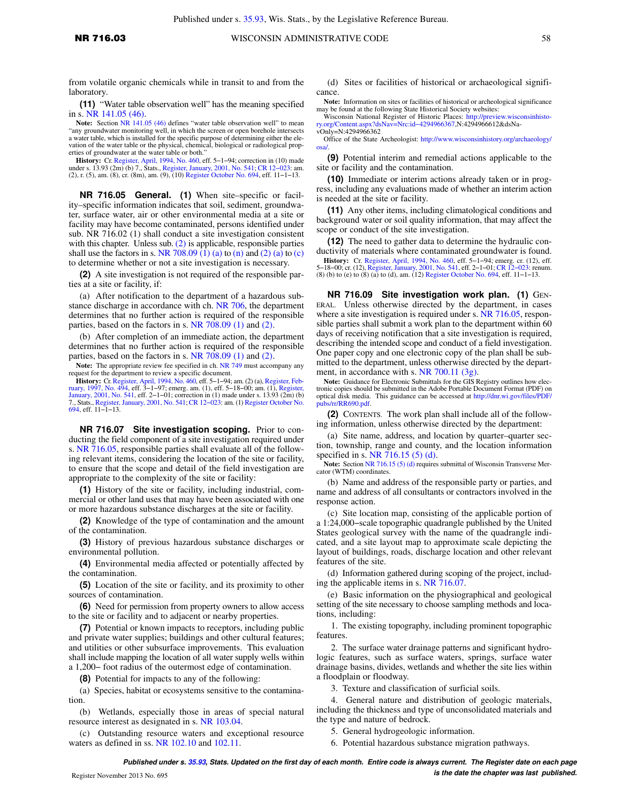from volatile organic chemicals while in transit to and from the laboratory.

**(11)** "Water table observation well" has the meaning specified in s. [NR 141.05 \(46\)](https://docs.legis.wisconsin.gov/document/administrativecode/NR%20141.05(46)).

Note: Section [NR 141.05 \(46\)](https://docs.legis.wisconsin.gov/document/administrativecode/NR%20141.05(46)) defines "water table observation well" to mean "any groundwater monitoring well, in which the screen or open borehole intersects a water table, which is installed for the specific purpose of determining either the ele-<br>vation of the water table or the physical, chemical, biological or radiological prop-<br>erties of groundwater at the water table or bo

**History:** Cr. [Register, April, 1994, No. 460](https://docs.legis.wisconsin.gov/document/register/460/B/toc), eff. 5–1–94; correction in (10) made under s. 13.93 (2m) (b) 7., Stats., [Register, January, 2001, No. 541;](https://docs.legis.wisconsin.gov/document/register/541/B/toc) CR 12–023: am. (2), r. (5), am. (8), cr. (8m), am. (9), (10) Registe

**NR 716.05 General. (1)** When site–specific or facility–specific information indicates that soil, sediment, groundwater, surface water, air or other environmental media at a site or facility may have become contaminated, persons identified under sub. NR 716.02 (1) shall conduct a site investigation consistent with this chapter. Unless sub.  $(2)$  is applicable, responsible parties shall use the factors in s. [NR 708.09 \(1\) \(a\)](https://docs.legis.wisconsin.gov/document/administrativecode/NR%20708.09(1)(a)) to [\(n\)](https://docs.legis.wisconsin.gov/document/administrativecode/NR%20708.09(1)(n)) and [\(2\) \(a\)](https://docs.legis.wisconsin.gov/document/administrativecode/NR%20708.09(2)(a)) to [\(c\)](https://docs.legis.wisconsin.gov/document/administrativecode/NR%20708.09(2)(c)) to determine whether or not a site investigation is necessary.

**(2)** A site investigation is not required of the responsible parties at a site or facility, if:

(a) After notification to the department of a hazardous substance discharge in accordance with ch. [NR 706](https://docs.legis.wisconsin.gov/document/administrativecode/ch.%20NR%20706), the department determines that no further action is required of the responsible parties, based on the factors in s. [NR 708.09 \(1\)](https://docs.legis.wisconsin.gov/document/administrativecode/NR%20708.09(1)) and [\(2\).](https://docs.legis.wisconsin.gov/document/administrativecode/NR%20708.09(2))

(b) After completion of an immediate action, the department determines that no further action is required of the responsible parties, based on the factors in s. [NR 708.09 \(1\)](https://docs.legis.wisconsin.gov/document/administrativecode/NR%20708.09(1)) and [\(2\).](https://docs.legis.wisconsin.gov/document/administrativecode/NR%20708.09(2))

**Note:** The appropriate review fee specified in ch. [NR 749](https://docs.legis.wisconsin.gov/document/administrativecode/ch.%20NR%20749) must accompany any

request for the department to review a specific document.<br> **History:** Cr. [Register, April, 1994, No. 460](https://docs.legis.wisconsin.gov/document/register/460/B/toc), eff. 5–1–94; am. (2) (a), Register, Feb[ruary, 1997, No. 494](https://docs.legis.wisconsin.gov/document/register/494/B/toc), eff. 3–1–97; emerg. am. (1), eff. 5–18–00; am. (1), Reg [January, 2001, No. 541](https://docs.legis.wisconsin.gov/document/register/541/B/toc), eff. 2−1−01; correction in (1) made under s. 13.93 (2m) (b) 7., Stats., [Register, January, 2001, No. 541](https://docs.legis.wisconsin.gov/document/register/541/B/toc); [CR 12−023:](https://docs.legis.wisconsin.gov/document/cr/2012/23) am. (1) [Register October No.](https://docs.legis.wisconsin.gov/document/register/694/B/toc) [694](https://docs.legis.wisconsin.gov/document/register/694/B/toc), eff. 11−1−13.

**NR 716.07 Site investigation scoping.** Prior to conducting the field component of a site investigation required under s. [NR 716.05,](https://docs.legis.wisconsin.gov/document/administrativecode/NR%20716.05) responsible parties shall evaluate all of the following relevant items, considering the location of the site or facility, to ensure that the scope and detail of the field investigation are appropriate to the complexity of the site or facility:

**(1)** History of the site or facility, including industrial, commercial or other land uses that may have been associated with one or more hazardous substance discharges at the site or facility.

**(2)** Knowledge of the type of contamination and the amount of the contamination.

**(3)** History of previous hazardous substance discharges or environmental pollution.

**(4)** Environmental media affected or potentially affected by the contamination.

**(5)** Location of the site or facility, and its proximity to other sources of contamination.

**(6)** Need for permission from property owners to allow access to the site or facility and to adjacent or nearby properties.

**(7)** Potential or known impacts to receptors, including public and private water supplies; buildings and other cultural features; and utilities or other subsurface improvements. This evaluation shall include mapping the location of all water supply wells within a 1,200− foot radius of the outermost edge of contamination.

**(8)** Potential for impacts to any of the following:

(a) Species, habitat or ecosystems sensitive to the contamination.

(b) Wetlands, especially those in areas of special natural resource interest as designated in s. [NR 103.04](https://docs.legis.wisconsin.gov/document/administrativecode/NR%20103.04).

(c) Outstanding resource waters and exceptional resource waters as defined in ss. [NR 102.10](https://docs.legis.wisconsin.gov/document/administrativecode/NR%20102.10) and [102.11.](https://docs.legis.wisconsin.gov/document/administrativecode/NR%20102.11)

(d) Sites or facilities of historical or archaeological significance.

**Note:** Information on sites or facilities of historical or archeological significance may be found at the following State Historical Society websites: Wisconsin National Register of Historic Places: [http://preview.wisconsinhisto-](http://preview.wisconsinhistory.org/Content.aspx?dsNav=Nrc:id-4294966367)

[ry.org/Content.aspx?dsNav=Nrc:id−4294966367,](http://preview.wisconsinhistory.org/Content.aspx?dsNav=Nrc:id-4294966367)N:4294966612&dsNavOnly=N:4294966362

Office of the State Archeologist: [http://www.wisconsinhistory.org/archaeology/](http://www.wisconsinhistory.org/archaeology/osa/) [osa/](http://www.wisconsinhistory.org/archaeology/osa/).

**(9)** Potential interim and remedial actions applicable to the site or facility and the contamination.

**(10)** Immediate or interim actions already taken or in progress, including any evaluations made of whether an interim action is needed at the site or facility.

**(11)** Any other items, including climatological conditions and background water or soil quality information, that may affect the scope or conduct of the site investigation.

**(12)** The need to gather data to determine the hydraulic conductivity of materials where contaminated groundwater is found.

**History:** Cr. [Register, April, 1994, No. 460](https://docs.legis.wisconsin.gov/document/register/460/B/toc), eff. 5–1–94; emerg. cr. (12), eff.<br>5–18-00; cr. (12), [Register, January, 2001, No. 541](https://docs.legis.wisconsin.gov/document/register/541/B/toc), eff. 2–1–01; CR 12–023: renum.<br>(8) (b) to (e) to (8) (a) to (d), am. (12) Register Octo

**NR 716.09 Site investigation work plan. (1)** GEN-ERAL. Unless otherwise directed by the department, in cases where a site investigation is required under s. [NR 716.05](https://docs.legis.wisconsin.gov/document/administrativecode/NR%20716.05), responsible parties shall submit a work plan to the department within 60 days of receiving notification that a site investigation is required, describing the intended scope and conduct of a field investigation. One paper copy and one electronic copy of the plan shall be submitted to the department, unless otherwise directed by the department, in accordance with s. [NR 700.11 \(3g\)](https://docs.legis.wisconsin.gov/document/administrativecode/NR%20700.11(3g)).

**Note:** Guidance for Electronic Submittals for the GIS Registry outlines how electronic copies should be submitted in the Adobe Portable Document Format (PDF) on optical disk media. This guidance can be accessed at [http://dnr.wi.gov/files/PDF/](http://dnr.wi.gov/files/PDF/pubs/rr/RR690.pdf) [pubs/rr/RR690.pdf.](http://dnr.wi.gov/files/PDF/pubs/rr/RR690.pdf)

**(2)** CONTENTS. The work plan shall include all of the following information, unless otherwise directed by the department:

(a) Site name, address, and location by quarter–quarter section, township, range and county, and the location information specified in s. [NR 716.15 \(5\) \(d\).](https://docs.legis.wisconsin.gov/document/administrativecode/NR%20716.15(5)(d))

**Note:** Section [NR 716.15 \(5\) \(d\)](https://docs.legis.wisconsin.gov/document/administrativecode/NR%20716.15(5)(d)) requires submittal of Wisconsin Transverse Mercator (WTM) coordinates.

(b) Name and address of the responsible party or parties, and name and address of all consultants or contractors involved in the response action.

(c) Site location map, consisting of the applicable portion of a 1:24,000−scale topographic quadrangle published by the United States geological survey with the name of the quadrangle indicated, and a site layout map to approximate scale depicting the layout of buildings, roads, discharge location and other relevant features of the site.

(d) Information gathered during scoping of the project, including the applicable items in s. [NR 716.07.](https://docs.legis.wisconsin.gov/document/administrativecode/NR%20716.07)

(e) Basic information on the physiographical and geological setting of the site necessary to choose sampling methods and locations, including:

1. The existing topography, including prominent topographic features

2. The surface water drainage patterns and significant hydrologic features, such as surface waters, springs, surface water drainage basins, divides, wetlands and whether the site lies within a floodplain or floodway.

3. Texture and classification of surficial soils.

4. General nature and distribution of geologic materials, including the thickness and type of unconsolidated materials and the type and nature of bedrock.

5. General hydrogeologic information.

6. Potential hazardous substance migration pathways.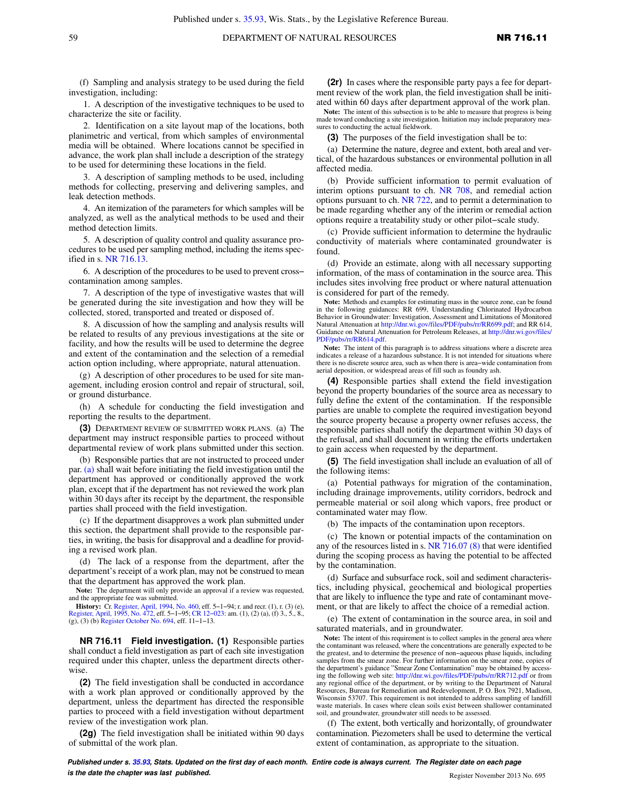(f) Sampling and analysis strategy to be used during the field investigation, including:

1. A description of the investigative techniques to be used to characterize the site or facility.

2. Identification on a site layout map of the locations, both planimetric and vertical, from which samples of environmental media will be obtained. Where locations cannot be specified in advance, the work plan shall include a description of the strategy to be used for determining these locations in the field.

3. A description of sampling methods to be used, including methods for collecting, preserving and delivering samples, and leak detection methods.

4. An itemization of the parameters for which samples will be analyzed, as well as the analytical methods to be used and their method detection limits.

5. A description of quality control and quality assurance procedures to be used per sampling method, including the items specified in s. [NR 716.13.](https://docs.legis.wisconsin.gov/document/administrativecode/NR%20716.13)

6. A description of the procedures to be used to prevent cross− contamination among samples.

7. A description of the type of investigative wastes that will be generated during the site investigation and how they will be collected, stored, transported and treated or disposed of.

8. A discussion of how the sampling and analysis results will be related to results of any previous investigations at the site or facility, and how the results will be used to determine the degree and extent of the contamination and the selection of a remedial action option including, where appropriate, natural attenuation.

(g) A description of other procedures to be used for site management, including erosion control and repair of structural, soil, or ground disturbance.

(h) A schedule for conducting the field investigation and reporting the results to the department.

**(3)** DEPARTMENT REVIEW OF SUBMITTED WORK PLANS. (a) The department may instruct responsible parties to proceed without departmental review of work plans submitted under this section.

(b) Responsible parties that are not instructed to proceed under par. [\(a\)](https://docs.legis.wisconsin.gov/document/administrativecode/NR%20716.09(3)(a)) shall wait before initiating the field investigation until the department has approved or conditionally approved the work plan, except that if the department has not reviewed the work plan within 30 days after its receipt by the department, the responsible parties shall proceed with the field investigation.

(c) If the department disapproves a work plan submitted under this section, the department shall provide to the responsible parties, in writing, the basis for disapproval and a deadline for providing a revised work plan.

(d) The lack of a response from the department, after the department's receipt of a work plan, may not be construed to mean that the department has approved the work plan.

**Note:** The department will only provide an approval if a review was requested, and the appropriate fee was submitted.

**History:** Cr. [Register, April, 1994, No. 460,](https://docs.legis.wisconsin.gov/document/register/460/B/toc) eff. 5–1–94; r. and recr. (1), r. (3) (e), [Register, April, 1995, No. 472](https://docs.legis.wisconsin.gov/document/register/472/B/toc), eff. 5–1–95; CR 12–023: am. (1), (2) (a), (f) 3., 5., 8., (g), (3) (b) [Register October No. 694](https://docs.legis.wisconsin.gov/document/register/694/B/toc), eff. 11−1−13.

**NR 716.11 Field investigation. (1)** Responsible parties shall conduct a field investigation as part of each site investigation required under this chapter, unless the department directs otherwise.

**(2)** The field investigation shall be conducted in accordance with a work plan approved or conditionally approved by the department, unless the department has directed the responsible parties to proceed with a field investigation without department review of the investigation work plan.

**(2g)** The field investigation shall be initiated within 90 days of submittal of the work plan.

**(2r)** In cases where the responsible party pays a fee for department review of the work plan, the field investigation shall be initiated within 60 days after department approval of the work plan.

**Note:** The intent of this subsection is to be able to measure that progress is being made toward conducting a site investigation. Initiation may include preparatory measures to conducting the actual fieldwork.

**(3)** The purposes of the field investigation shall be to:

(a) Determine the nature, degree and extent, both areal and vertical, of the hazardous substances or environmental pollution in all affected media.

(b) Provide sufficient information to permit evaluation of interim options pursuant to ch. [NR 708](https://docs.legis.wisconsin.gov/document/administrativecode/ch.%20NR%20708), and remedial action options pursuant to ch. [NR 722](https://docs.legis.wisconsin.gov/document/administrativecode/ch.%20NR%20722), and to permit a determination to be made regarding whether any of the interim or remedial action options require a treatability study or other pilot−scale study.

(c) Provide sufficient information to determine the hydraulic conductivity of materials where contaminated groundwater is found.

(d) Provide an estimate, along with all necessary supporting information, of the mass of contamination in the source area. This includes sites involving free product or where natural attenuation is considered for part of the remedy.

**Note:** Methods and examples for estimating mass in the source zone, can be found in the following guidances: RR 699, Understanding Chlorinated Hydrocarbon Behavior in Groundwater: Investigation, Assessment and Limitations of Monitored<br>Natural Attenuation at [http://dnr.wi.gov/files/PDF/pubs/rr/RR699.pdf;](http://dnr.wi.gov/files/PDF/pubs/rr/RR699.pdf) and RR 614, Guidance on Natural Attenuation for Petroleum Releases, at [http://dnr.wi.gov/files/](http://dnr.wi.gov/files/PDF/pubs/rr/RR614.pdf) [PDF/pubs/rr/RR614.pdf.](http://dnr.wi.gov/files/PDF/pubs/rr/RR614.pdf)

**Note:** The intent of this paragraph is to address situations where a discrete area indicates a release of a hazardous substance. It is not intended for situations where there is no discrete source area, such as when there is area−wide contamination from aerial deposition, or widespread areas of fill such as foundry ash.

**(4)** Responsible parties shall extend the field investigation beyond the property boundaries of the source area as necessary to fully define the extent of the contamination. If the responsible parties are unable to complete the required investigation beyond the source property because a property owner refuses access, the responsible parties shall notify the department within 30 days of the refusal, and shall document in writing the efforts undertaken to gain access when requested by the department.

**(5)** The field investigation shall include an evaluation of all of the following items:

(a) Potential pathways for migration of the contamination, including drainage improvements, utility corridors, bedrock and permeable material or soil along which vapors, free product or contaminated water may flow.

(b) The impacts of the contamination upon receptors.

(c) The known or potential impacts of the contamination on any of the resources listed in s. [NR 716.07 \(8\)](https://docs.legis.wisconsin.gov/document/administrativecode/NR%20716.07(8)) that were identified during the scoping process as having the potential to be affected by the contamination.

(d) Surface and subsurface rock, soil and sediment characteristics, including physical, geochemical and biological properties that are likely to influence the type and rate of contaminant movement, or that are likely to affect the choice of a remedial action.

(e) The extent of contamination in the source area, in soil and saturated materials, and in groundwater.

**Note:** The intent of this requirement is to collect samples in the general area where the contaminant was released, where the concentrations are generally expected to be the greatest, and to determine the presence of non−aqueous phase liquids, including samples from the smear zone. For further information on the smear zone, copies of the department's guidance "Smear Zone Contamination" may be obtained by accessing the following web site: <http://dnr.wi.gov/files/PDF/pubs/rr/RR712.pdf>or from any regional office of the department, or by writing to the De Resources, Bureau for Remediation and Redevelopment, P. O. Box 7921, Madison, Wisconsin 53707. This requirement is not intended to address sampling of landfill waste materials. In cases where clean soils exist between shallower contaminated soil, and groundwater, groundwater still needs to be assessed.

(f) The extent, both vertically and horizontally, of groundwater contamination. Piezometers shall be used to determine the vertical extent of contamination, as appropriate to the situation.

**Published under s. [35.93,](https://docs.legis.wisconsin.gov/document/statutes/35.93) Stats. Updated on the first day of each month. Entire code is always current. The Register date on each page is the date the chapter was last published. is the date the chapter was last published.** Register November 2013 No. 695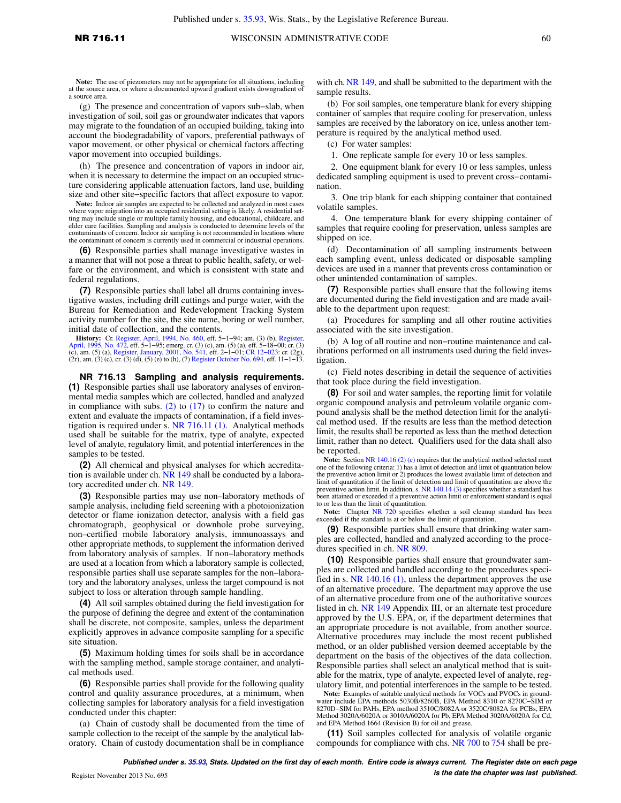**Note:** The use of piezometers may not be appropriate for all situations, including at the source area, or where a documented upward gradient exists downgradient of a source area.

(g) The presence and concentration of vapors sub−slab, when investigation of soil, soil gas or groundwater indicates that vapors may migrate to the foundation of an occupied building, taking into account the biodegradability of vapors, preferential pathways of vapor movement, or other physical or chemical factors affecting vapor movement into occupied buildings.

(h) The presence and concentration of vapors in indoor air, when it is necessary to determine the impact on an occupied structure considering applicable attenuation factors, land use, building size and other site−specific factors that affect exposure to vapor.

**Note:** Indoor air samples are expected to be collected and analyzed in most cases where vapor migration into an occupied residential setting is likely. A residential setting may include single or multiple family housing, and educational, childcare, and elder care facilities. Sampling and analysis is conducted to determine levels of the contaminants of concern. Indoor air sampling is not recommended in locations where the contaminant of concern is currently used in commercial or industrial operations.

**(6)** Responsible parties shall manage investigative wastes in a manner that will not pose a threat to public health, safety, or welfare or the environment, and which is consistent with state and federal regulations.

**(7)** Responsible parties shall label all drums containing investigative wastes, including drill cuttings and purge water, with the Bureau for Remediation and Redevelopment Tracking System activity number for the site, the site name, boring or well number, initial date of collection, and the contents.

**History:** Cr. [Register, April, 1994, No. 460](https://docs.legis.wisconsin.gov/document/register/460/B/toc), eff. 5–1–94; am. (3) (b), [Register,](https://docs.legis.wisconsin.gov/document/register/472/B/toc) [April, 1995, No. 472](https://docs.legis.wisconsin.gov/document/register/472/B/toc), eff. 5–1–95; emerg. cr. (3) (c), am. (5) (a), eff. 5–1–95; emerg. cr. (3) (c), am. (5) (a), eff. 5–18–00; cr. (3), eg

**NR 716.13 Sampling and analysis requirements. (1)** Responsible parties shall use laboratory analyses of environmental media samples which are collected, handled and analyzed in compliance with subs.  $(2)$  to  $(17)$  to confirm the nature and extent and evaluate the impacts of contamination, if a field investigation is required under s. [NR 716.11 \(1\)](https://docs.legis.wisconsin.gov/document/administrativecode/NR%20716.11(1)). Analytical methods used shall be suitable for the matrix, type of analyte, expected level of analyte, regulatory limit, and potential interferences in the samples to be tested.

**(2)** All chemical and physical analyses for which accreditation is available under ch. [NR 149](https://docs.legis.wisconsin.gov/document/administrativecode/ch.%20NR%20149) shall be conducted by a laboratory accredited under ch. [NR 149](https://docs.legis.wisconsin.gov/document/administrativecode/ch.%20NR%20149).

**(3)** Responsible parties may use non–laboratory methods of sample analysis, including field screening with a photoionization detector or flame ionization detector, analysis with a field gas chromatograph, geophysical or downhole probe surveying, non–certified mobile laboratory analysis, immunoassays and other appropriate methods, to supplement the information derived from laboratory analysis of samples. If non–laboratory methods are used at a location from which a laboratory sample is collected, responsible parties shall use separate samples for the non–laboratory and the laboratory analyses, unless the target compound is not subject to loss or alteration through sample handling.

**(4)** All soil samples obtained during the field investigation for the purpose of defining the degree and extent of the contamination shall be discrete, not composite, samples, unless the department explicitly approves in advance composite sampling for a specific site situation.

**(5)** Maximum holding times for soils shall be in accordance with the sampling method, sample storage container, and analytical methods used.

**(6)** Responsible parties shall provide for the following quality control and quality assurance procedures, at a minimum, when collecting samples for laboratory analysis for a field investigation conducted under this chapter:

(a) Chain of custody shall be documented from the time of sample collection to the receipt of the sample by the analytical laboratory. Chain of custody documentation shall be in compliance

with ch. [NR 149](https://docs.legis.wisconsin.gov/document/administrativecode/ch.%20NR%20149), and shall be submitted to the department with the sample results.

(b) For soil samples, one temperature blank for every shipping container of samples that require cooling for preservation, unless samples are received by the laboratory on ice, unless another temperature is required by the analytical method used.

(c) For water samples:

1. One replicate sample for every 10 or less samples.

2. One equipment blank for every 10 or less samples, unless dedicated sampling equipment is used to prevent cross−contamination.

3. One trip blank for each shipping container that contained volatile samples.

4. One temperature blank for every shipping container of samples that require cooling for preservation, unless samples are shipped on ice.

(d) Decontamination of all sampling instruments between each sampling event, unless dedicated or disposable sampling devices are used in a manner that prevents cross contamination or other unintended contamination of samples.

**(7)** Responsible parties shall ensure that the following items are documented during the field investigation and are made available to the department upon request:

(a) Procedures for sampling and all other routine activities associated with the site investigation.

(b) A log of all routine and non−routine maintenance and calibrations performed on all instruments used during the field investigation.

(c) Field notes describing in detail the sequence of activities that took place during the field investigation.

**(8)** For soil and water samples, the reporting limit for volatile organic compound analysis and petroleum volatile organic compound analysis shall be the method detection limit for the analytical method used. If the results are less than the method detection limit, the results shall be reported as less than the method detection limit, rather than no detect. Qualifiers used for the data shall also be reported.

**Note:** Section [NR 140.16 \(2\) \(c\)](https://docs.legis.wisconsin.gov/document/administrativecode/NR%20140.16(2)(c)) requires that the analytical method selected meet one of the following criteria: 1) has a limit of detection and limit of quantitation below the preventive action limit or 2) produces the lowest available limit of detection and limit of quantitation if the limit of detection and limit of quantitation are above the preventive action limit. In addition, s. [NR 140.14 \(3\)](https://docs.legis.wisconsin.gov/document/administrativecode/NR%20140.14(3)) specifies whether a standard has been attained or exceeded if a preventive action limit or enforcement standard is equal to or less than the limit of quantitation.

Note: Chapter [NR 720](https://docs.legis.wisconsin.gov/document/administrativecode/ch.%20NR%20720) specifies whether a soil cleanup standard has been exceeded if the standard is at or below the limit of quantitation.

**(9)** Responsible parties shall ensure that drinking water samples are collected, handled and analyzed according to the procedures specified in ch. [NR 809.](https://docs.legis.wisconsin.gov/document/administrativecode/ch.%20NR%20809)

**(10)** Responsible parties shall ensure that groundwater samples are collected and handled according to the procedures specified in s. [NR 140.16 \(1\)](https://docs.legis.wisconsin.gov/document/administrativecode/NR%20140.16(1)), unless the department approves the use of an alternative procedure. The department may approve the use of an alternative procedure from one of the authoritative sources listed in ch. [NR 149 Appendix III](https://docs.legis.wisconsin.gov/document/administrativecode/ch.%20NR%20149%20Appendix%20III), or an alternate test procedure approved by the U.S. EPA, or, if the department determines that an appropriate procedure is not available, from another source. Alternative procedures may include the most recent published method, or an older published version deemed acceptable by the department on the basis of the objectives of the data collection. Responsible parties shall select an analytical method that is suitable for the matrix, type of analyte, expected level of analyte, regulatory limit, and potential interferences in the sample to be tested.

Note: Examples of suitable analytical methods for VOCs and PVOCs in ground-water include EPA methods 5030B/8260B, EPA Method 8310 or 8270C−SIM or 8270D−SIM for PAHs, EPA method 3510C/8082A or 3520C/8082A for PCBs, EPA Method 3020A/6020A or 3010A/6020A for Pb, EPA Method 3020A/6020A for Cd, and EPA Method 1664 (Revision B) for oil and grease.

**(11)** Soil samples collected for analysis of volatile organic compounds for compliance with chs. [NR 700](https://docs.legis.wisconsin.gov/document/administrativecode/ch.%20NR%20700) to [754](https://docs.legis.wisconsin.gov/document/administrativecode/ch.%20NR%20754) shall be pre-

**Published under s. [35.93,](https://docs.legis.wisconsin.gov/document/statutes/35.93) Stats. Updated on the first day of each month. Entire code is always current. The Register date on each page is the date the chapter was last published.** Register November 2013 No. 695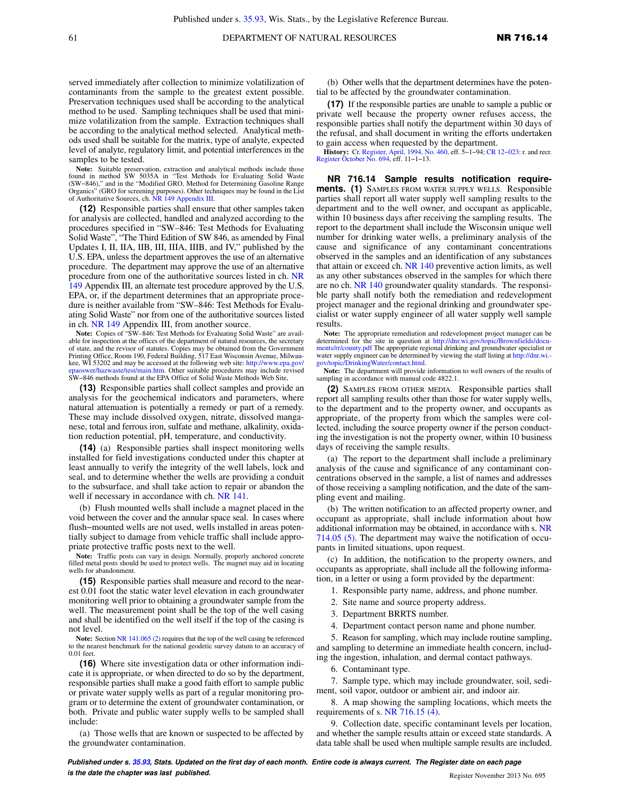served immediately after collection to minimize volatilization of contaminants from the sample to the greatest extent possible. Preservation techniques used shall be according to the analytical method to be used. Sampling techniques shall be used that minimize volatilization from the sample. Extraction techniques shall be according to the analytical method selected. Analytical methods used shall be suitable for the matrix, type of analyte, expected level of analyte, regulatory limit, and potential interferences in the samples to be tested.

**Note:** Suitable preservation, extraction and analytical methods include those found in method SW 5035A in "Test Methods for Evaluating Solid Waste (SW−846)," and in the "Modified GRO, Method for Determining Gasoline Range Organics" (GRO for screening purposes). Other techniques may be found in the List of Authoritative Sources, ch. [NR 149 Appendix III](https://docs.legis.wisconsin.gov/document/administrativecode/ch.%20NR%20149%20Appendix%20III).

**(12)** Responsible parties shall ensure that other samples taken for analysis are collected, handled and analyzed according to the procedures specified in "SW–846: Test Methods for Evaluating Solid Waste", "The Third Edition of SW 846, as amended by Final Updates I, II, IIA, IIB, III, IIIA, IIIB, and IV," published by the U.S. EPA, unless the department approves the use of an alternative procedure. The department may approve the use of an alternative procedure from one of the authoritative sources listed in ch. [NR](https://docs.legis.wisconsin.gov/document/administrativecode/ch.%20NR%20149%20Appendix%20III) [149 Appendix III,](https://docs.legis.wisconsin.gov/document/administrativecode/ch.%20NR%20149%20Appendix%20III) an alternate test procedure approved by the U.S. EPA, or, if the department determines that an appropriate procedure is neither available from "SW–846: Test Methods for Evaluating Solid Waste" nor from one of the authoritative sources listed in ch. [NR 149 Appendix III,](https://docs.legis.wisconsin.gov/document/administrativecode/ch.%20NR%20149%20Appendix%20III) from another source.

**Note:** Copies of "SW–846: Test Methods for Evaluating Solid Waste" are available for inspection at the offices of the department of natural resources, the secretary of state, and the revisor of statutes. Copies may be obtained from the Government Printing Office, Room 190, Federal Building, 517 East Wisconsin Avenue, Milwaukee, WI 53202 and may be accessed at the following web site: [http://www.epa.gov/](http://www.epa.gov/epaoswer/hazwaste/test/main.htm) [epaoswer/hazwaste/test/main.htm](http://www.epa.gov/epaoswer/hazwaste/test/main.htm). Other suitable procedures may include revised SW−846 methods found at the EPA Office of Solid Waste Methods Web Site,

**(13)** Responsible parties shall collect samples and provide an analysis for the geochemical indicators and parameters, where natural attenuation is potentially a remedy or part of a remedy. These may include dissolved oxygen, nitrate, dissolved manganese, total and ferrous iron, sulfate and methane, alkalinity, oxidation reduction potential, pH, temperature, and conductivity.

**(14)** (a) Responsible parties shall inspect monitoring wells installed for field investigations conducted under this chapter at least annually to verify the integrity of the well labels, lock and seal, and to determine whether the wells are providing a conduit to the subsurface, and shall take action to repair or abandon the well if necessary in accordance with ch. [NR 141.](https://docs.legis.wisconsin.gov/document/administrativecode/ch.%20NR%20141)

(b) Flush mounted wells shall include a magnet placed in the void between the cover and the annular space seal. In cases where flush−mounted wells are not used, wells installed in areas potentially subject to damage from vehicle traffic shall include appropriate protective traffic posts next to the well.

**Note:** Traffic posts can vary in design. Normally, properly anchored concrete filled metal posts should be used to protect wells. The magnet may aid in locating wells for abandonment.

**(15)** Responsible parties shall measure and record to the nearest 0.01 foot the static water level elevation in each groundwater monitoring well prior to obtaining a groundwater sample from the well. The measurement point shall be the top of the well casing and shall be identified on the well itself if the top of the casing is not level.

Note: Section [NR 141.065 \(2\)](https://docs.legis.wisconsin.gov/document/administrativecode/NR%20141.065(2)) requires that the top of the well casing be referenced to the nearest benchmark for the national geodetic survey datum to an accuracy of 0.01 feet.

**(16)** Where site investigation data or other information indicate it is appropriate, or when directed to do so by the department, responsible parties shall make a good faith effort to sample public or private water supply wells as part of a regular monitoring program or to determine the extent of groundwater contamination, or both. Private and public water supply wells to be sampled shall include:

(a) Those wells that are known or suspected to be affected by the groundwater contamination.

(b) Other wells that the department determines have the potential to be affected by the groundwater contamination.

**(17)** If the responsible parties are unable to sample a public or private well because the property owner refuses access, the responsible parties shall notify the department within 30 days of the refusal, and shall document in writing the efforts undertaken to gain access when requested by the department.

**History:** Cr. [Register, April, 1994, No. 460](https://docs.legis.wisconsin.gov/document/register/460/B/toc), eff. 5−1−94; [CR 12−023:](https://docs.legis.wisconsin.gov/document/cr/2012/23) r. and recr. [Register October No. 694](https://docs.legis.wisconsin.gov/document/register/694/B/toc), eff. 11−1−13.

**NR 716.14 Sample results notification requirements. (1)** SAMPLES FROM WATER SUPPLY WELLS. Responsible parties shall report all water supply well sampling results to the department and to the well owner, and occupant as applicable, within 10 business days after receiving the sampling results. The report to the department shall include the Wisconsin unique well number for drinking water wells, a preliminary analysis of the cause and significance of any contaminant concentrations observed in the samples and an identification of any substances that attain or exceed ch. [NR 140](https://docs.legis.wisconsin.gov/document/administrativecode/ch.%20NR%20140) preventive action limits, as well as any other substances observed in the samples for which there are no ch. [NR 140](https://docs.legis.wisconsin.gov/document/administrativecode/ch.%20NR%20140) groundwater quality standards. The responsible party shall notify both the remediation and redevelopment project manager and the regional drinking and groundwater specialist or water supply engineer of all water supply well sample results.

Note: The appropriate remediation and redevelopment project manager can be determined for the site in question at [http://dnr.wi.gov/topic/Brownfields/docu](http://dnr.wi.gov/topic/Brownfields/documents/rr/county.pdf)[ments/rr/county.pdf](http://dnr.wi.gov/topic/Brownfields/documents/rr/county.pdf) The appropriate regional drinking and groundwater specialist or water supply engineer can be determined by viewing the staff listing at [http://dnr.wi.](http://dnr.wi.gov/topic/DrinkingWater/contact.html) [gov/topic/DrinkingWater/contact.html](http://dnr.wi.gov/topic/DrinkingWater/contact.html).

**Note:** The department will provide information to well owners of the results of sampling in accordance with manual code 4822.1

**(2)** SAMPLES FROM OTHER MEDIA. Responsible parties shall report all sampling results other than those for water supply wells, to the department and to the property owner, and occupants as appropriate, of the property from which the samples were collected, including the source property owner if the person conducting the investigation is not the property owner, within 10 business days of receiving the sample results.

(a) The report to the department shall include a preliminary analysis of the cause and significance of any contaminant concentrations observed in the sample, a list of names and addresses of those receiving a sampling notification, and the date of the sampling event and mailing.

(b) The written notification to an affected property owner, and occupant as appropriate, shall include information about how additional information may be obtained, in accordance with s. [NR](https://docs.legis.wisconsin.gov/document/administrativecode/NR%20714.05(5)) [714.05 \(5\)](https://docs.legis.wisconsin.gov/document/administrativecode/NR%20714.05(5)). The department may waive the notification of occupants in limited situations, upon request.

(c) In addition, the notification to the property owners, and occupants as appropriate, shall include all the following information, in a letter or using a form provided by the department:

1. Responsible party name, address, and phone number.

- 2. Site name and source property address.
- 3. Department BRRTS number.
- 4. Department contact person name and phone number.

5. Reason for sampling, which may include routine sampling, and sampling to determine an immediate health concern, including the ingestion, inhalation, and dermal contact pathways.

6. Contaminant type.

7. Sample type, which may include groundwater, soil, sediment, soil vapor, outdoor or ambient air, and indoor air.

8. A map showing the sampling locations, which meets the requirements of s. NR 716.15  $(4)$ .

9. Collection date, specific contaminant levels per location, and whether the sample results attain or exceed state standards. A data table shall be used when multiple sample results are included.

**Published under s. [35.93,](https://docs.legis.wisconsin.gov/document/statutes/35.93) Stats. Updated on the first day of each month. Entire code is always current. The Register date on each page is the date the chapter was last published. is the date the chapter was last published.** Register November 2013 No. 695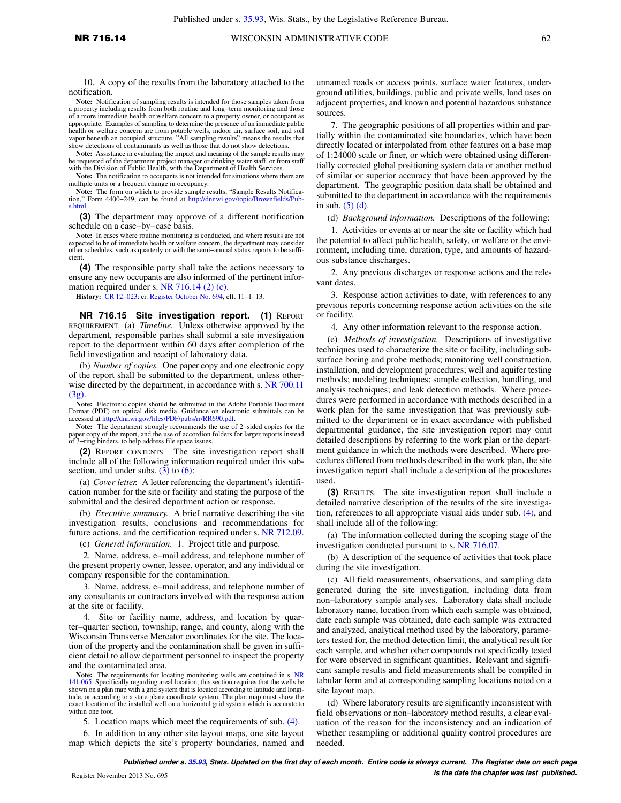10. A copy of the results from the laboratory attached to the notification.

Note: Notification of sampling results is intended for those samples taken from a property including results from both routine and long–term monitoring and those of a more immediate health or welfare concern to a property owner, or occupant as appropriate. Examples of sampling to determine the presence of an immediate public health or welfare concern are from potable wells, indoor air, surface soil, and soil vapor beneath an occupied structure. "All sampling results" means the results that show detections of contaminants as well as those that do not show detections.

**Note:** Assistance in evaluating the impact and meaning of the sample results may be requested of the department project manager or drinking water staff, or from staff with the Division of Public Health, with the Department of Health Services.

**Note:** The notification to occupants is not intended for situations where there are multiple units or a frequent change in occupancy.

**Note:** The form on which to provide sample results, "Sample Results Notification," Form 4400−249, can be found at [http://dnr.wi.gov/topic/Brownfields/Pub](http://dnr.wi.gov/topic/Brownfields/Pubs.html)[s.html](http://dnr.wi.gov/topic/Brownfields/Pubs.html).

**(3)** The department may approve of a different notification schedule on a case−by−case basis.

**Note:** In cases where routine monitoring is conducted, and where results are not expected to be of immediate health or welfare concern, the department may consider other schedules, such as quarterly or with the semi−annual status reports to be sufficient.

**(4)** The responsible party shall take the actions necessary to ensure any new occupants are also informed of the pertinent information required under s. [NR 716.14 \(2\) \(c\)](https://docs.legis.wisconsin.gov/document/administrativecode/NR%20716.14(2)(c)).

**History:** [CR 12−023](https://docs.legis.wisconsin.gov/document/cr/2012/23): cr. [Register October No. 694,](https://docs.legis.wisconsin.gov/document/register/694/B/toc) eff. 11−1−13.

**NR 716.15 Site investigation report. (1)** REPORT REQUIREMENT. (a) *Timeline.* Unless otherwise approved by the department, responsible parties shall submit a site investigation report to the department within 60 days after completion of the field investigation and receipt of laboratory data.

(b) *Number of copies.* One paper copy and one electronic copy of the report shall be submitted to the department, unless otherwise directed by the department, in accordance with s. [NR 700.11](https://docs.legis.wisconsin.gov/document/administrativecode/NR%20700.11(3g))  $(3g)$ 

**Note:** Electronic copies should be submitted in the Adobe Portable Document Format (PDF) on optical disk media. Guidance on electronic submittals can be accessed at [http://dnr.wi.gov/files/PDF/pubs/rr/RR690.pdf.](http://dnr.wi.gov/files/PDF/pubs/rr/RR690.pdf)

**Note:** The department strongly recommends the use of 2−sided copies for the paper copy of the report, and the use of accordion folders for larger reports instead of 3−ring binders, to help address file space issues.

**(2)** REPORT CONTENTS. The site investigation report shall include all of the following information required under this subsection, and under subs.  $(3)$  to  $(6)$ :

(a) *Cover letter.* A letter referencing the department's identification number for the site or facility and stating the purpose of the submittal and the desired department action or response.

(b) *Executive summary.* A brief narrative describing the site investigation results, conclusions and recommendations for future actions, and the certification required under s. [NR 712.09.](https://docs.legis.wisconsin.gov/document/administrativecode/NR%20712.09)

(c) *General information.* 1. Project title and purpose.

2. Name, address, e−mail address, and telephone number of the present property owner, lessee, operator, and any individual or company responsible for the contamination.

3. Name, address, e−mail address, and telephone number of any consultants or contractors involved with the response action at the site or facility.

4. Site or facility name, address, and location by quarter–quarter section, township, range, and county, along with the Wisconsin Transverse Mercator coordinates for the site. The location of the property and the contamination shall be given in sufficient detail to allow department personnel to inspect the property and the contaminated area.

Note: The requirements for locating monitoring wells are contained in s. [NR](https://docs.legis.wisconsin.gov/document/administrativecode/NR%20141.065) [141.065.](https://docs.legis.wisconsin.gov/document/administrativecode/NR%20141.065) Specifically regarding areal location, this section requires that the wells be shown on a plan map with a grid system that is located according to latitude and longitude, or according to a state plane coordinate system. The plan map must show the<br>exact location of the installed well on a horizontal g within one foot.

5. Location maps which meet the requirements of sub. [\(4\).](https://docs.legis.wisconsin.gov/document/administrativecode/NR%20716.15(4))

6. In addition to any other site layout maps, one site layout map which depicts the site's property boundaries, named and unnamed roads or access points, surface water features, underground utilities, buildings, public and private wells, land uses on adjacent properties, and known and potential hazardous substance sources.

7. The geographic positions of all properties within and partially within the contaminated site boundaries, which have been directly located or interpolated from other features on a base map of 1:24000 scale or finer, or which were obtained using differentially corrected global positioning system data or another method of similar or superior accuracy that have been approved by the department. The geographic position data shall be obtained and submitted to the department in accordance with the requirements in sub. [\(5\) \(d\).](https://docs.legis.wisconsin.gov/document/administrativecode/NR%20716.15(5)(d))

(d) *Background information.* Descriptions of the following:

1. Activities or events at or near the site or facility which had the potential to affect public health, safety, or welfare or the environment, including time, duration, type, and amounts of hazardous substance discharges.

2. Any previous discharges or response actions and the relevant dates.

3. Response action activities to date, with references to any previous reports concerning response action activities on the site or facility.

4. Any other information relevant to the response action.

(e) *Methods of investigation.* Descriptions of investigative techniques used to characterize the site or facility, including subsurface boring and probe methods; monitoring well construction, installation, and development procedures; well and aquifer testing methods; modeling techniques; sample collection, handling, and analysis techniques; and leak detection methods. Where procedures were performed in accordance with methods described in a work plan for the same investigation that was previously submitted to the department or in exact accordance with published departmental guidance, the site investigation report may omit detailed descriptions by referring to the work plan or the department guidance in which the methods were described. Where procedures differed from methods described in the work plan, the site investigation report shall include a description of the procedures used.

**(3)** RESULTS. The site investigation report shall include a detailed narrative description of the results of the site investigation, references to all appropriate visual aids under sub. [\(4\),](https://docs.legis.wisconsin.gov/document/administrativecode/NR%20716.15(4)) and shall include all of the following:

(a) The information collected during the scoping stage of the investigation conducted pursuant to s. [NR 716.07](https://docs.legis.wisconsin.gov/document/administrativecode/NR%20716.07).

(b) A description of the sequence of activities that took place during the site investigation.

(c) All field measurements, observations, and sampling data generated during the site investigation, including data from non–laboratory sample analyses. Laboratory data shall include laboratory name, location from which each sample was obtained, date each sample was obtained, date each sample was extracted and analyzed, analytical method used by the laboratory, parameters tested for, the method detection limit, the analytical result for each sample, and whether other compounds not specifically tested for were observed in significant quantities. Relevant and significant sample results and field measurements shall be compiled in tabular form and at corresponding sampling locations noted on a site layout map.

(d) Where laboratory results are significantly inconsistent with field observations or non–laboratory method results, a clear evaluation of the reason for the inconsistency and an indication of whether resampling or additional quality control procedures are needed.

**Published under s. [35.93,](https://docs.legis.wisconsin.gov/document/statutes/35.93) Stats. Updated on the first day of each month. Entire code is always current. The Register date on each page is the date the chapter was last published.** Register November 2013 No. 695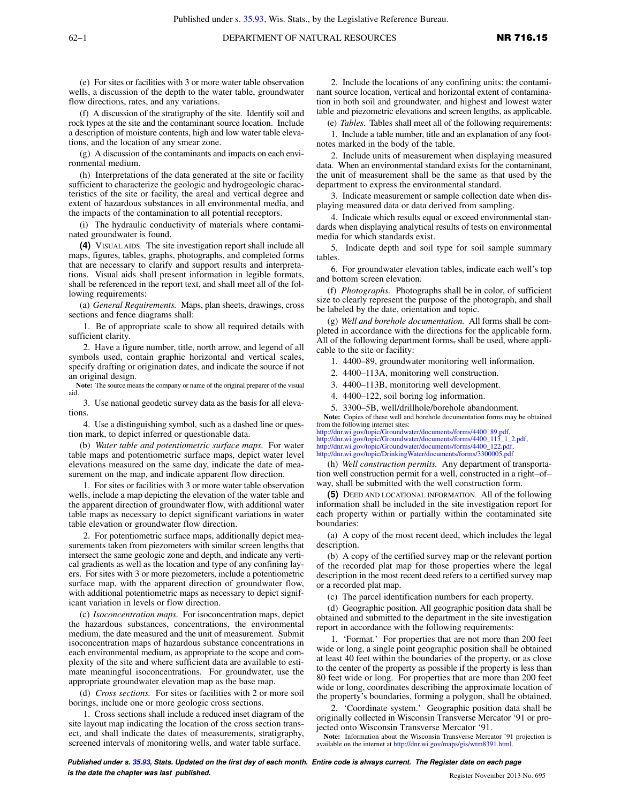(e) For sites or facilities with 3 or more water table observation wells, a discussion of the depth to the water table, groundwater flow directions, rates, and any variations.

(f) A discussion of the stratigraphy of the site. Identify soil and rock types at the site and the contaminant source location. Include a description of moisture contents, high and low water table elevations, and the location of any smear zone.

(g) A discussion of the contaminants and impacts on each environmental medium.

(h) Interpretations of the data generated at the site or facility sufficient to characterize the geologic and hydrogeologic characteristics of the site or facility, the areal and vertical degree and extent of hazardous substances in all environmental media, and the impacts of the contamination to all potential receptors.

(i) The hydraulic conductivity of materials where contaminated groundwater is found.

**(4)** VISUAL AIDS. The site investigation report shall include all maps, figures, tables, graphs, photographs, and completed forms that are necessary to clarify and support results and interpretations. Visual aids shall present information in legible formats, shall be referenced in the report text, and shall meet all of the following requirements:

(a) *General Requirements.* Maps, plan sheets, drawings, cross sections and fence diagrams shall:

1. Be of appropriate scale to show all required details with sufficient clarity.

2. Have a figure number, title, north arrow, and legend of all symbols used, contain graphic horizontal and vertical scales, specify drafting or origination dates, and indicate the source if not an original design.

**Note:** The source means the company or name of the original preparer of the visual aid.

3. Use national geodetic survey data as the basis for all elevations.

4. Use a distinguishing symbol, such as a dashed line or question mark, to depict inferred or questionable data.

(b) *Water table and potentiometric surface maps.* For water table maps and potentiometric surface maps, depict water level elevations measured on the same day, indicate the date of measurement on the map, and indicate apparent flow direction.

1. For sites or facilities with 3 or more water table observation wells, include a map depicting the elevation of the water table and the apparent direction of groundwater flow, with additional water table maps as necessary to depict significant variations in water table elevation or groundwater flow direction.

2. For potentiometric surface maps, additionally depict measurements taken from piezometers with similar screen lengths that intersect the same geologic zone and depth, and indicate any vertical gradients as well as the location and type of any confining layers. For sites with 3 or more piezometers, include a potentiometric surface map, with the apparent direction of groundwater flow, with additional potentiometric maps as necessary to depict significant variation in levels or flow direction.

(c) *Isoconcentration maps.* For isoconcentration maps, depict the hazardous substances, concentrations, the environmental medium, the date measured and the unit of measurement. Submit isoconcentration maps of hazardous substance concentrations in each environmental medium, as appropriate to the scope and complexity of the site and where sufficient data are available to estimate meaningful isoconcentrations. For groundwater, use the appropriate groundwater elevation map as the base map.

(d) *Cross sections.* For sites or facilities with 2 or more soil borings, include one or more geologic cross sections.

1. Cross sections shall include a reduced inset diagram of the site layout map indicating the location of the cross section transect, and shall indicate the dates of measurements, stratigraphy, screened intervals of monitoring wells, and water table surface.

2. Include the locations of any confining units; the contaminant source location, vertical and horizontal extent of contamination in both soil and groundwater, and highest and lowest water table and piezometric elevations and screen lengths, as applicable.

(e) *Tables.* Tables shall meet all of the following requirements:

1. Include a table number, title and an explanation of any footnotes marked in the body of the table.

2. Include units of measurement when displaying measured data. When an environmental standard exists for the contaminant, the unit of measurement shall be the same as that used by the department to express the environmental standard.

3. Indicate measurement or sample collection date when displaying measured data or data derived from sampling.

4. Indicate which results equal or exceed environmental standards when displaying analytical results of tests on environmental media for which standards exist.

5. Indicate depth and soil type for soil sample summary tables.

6. For groundwater elevation tables, indicate each well's top and bottom screen elevation.

(f) *Photographs.* Photographs shall be in color, of sufficient size to clearly represent the purpose of the photograph, and shall be labeled by the date, orientation and topic.

(g) *Well and borehole documentation.* All forms shall be completed in accordance with the directions for the applicable form. All of the following department forms, shall be used, where applicable to the site or facility:

1. 4400–89, groundwater monitoring well information.

- 2. 4400–113A, monitoring well construction.
- 3. 4400–113B, monitoring well development.
- 4. 4400–122, soil boring log information.

5. 3300–5B, well/drillhole/borehole abandonment.

**Note:** Copies of these well and borehole documentation forms may be obtained from the following internet sites:

[http://dnr.wi.gov/topic/Groundwater/documents/forms/4400\\_89.pdf,](http://dnr.wi.gov/topic/Groundwater/documents/forms/4400_89.pdf) [http://dnr.wi.gov/topic/Groundwater/documents/forms/4400\\_113\\_1\\_2.pdf](http://dnr.wi.gov/topic/Groundwater/documents/forms/4400_113_1_2.pdf), http://dnr.wi.gov/topic/Groundwater/documents/forms/4400\_122.p <http://dnr.wi.gov/topic/DrinkingWater/documents/forms/3300005.pdf>

(h) *Well construction permits.* Any department of transportation well construction permit for a well, constructed in a right−of− way, shall be submitted with the well construction form.

**(5)** DEED AND LOCATIONAL INFORMATION. All of the following information shall be included in the site investigation report for each property within or partially within the contaminated site boundaries:

(a) A copy of the most recent deed, which includes the legal description.

(b) A copy of the certified survey map or the relevant portion of the recorded plat map for those properties where the legal description in the most recent deed refers to a certified survey map or a recorded plat map.

(c) The parcel identification numbers for each property.

(d) Geographic position*.* All geographic position data shall be obtained and submitted to the department in the site investigation report in accordance with the following requirements:

1. 'Format.' For properties that are not more than 200 feet wide or long, a single point geographic position shall be obtained at least 40 feet within the boundaries of the property, or as close to the center of the property as possible if the property is less than 80 feet wide or long. For properties that are more than 200 feet wide or long, coordinates describing the approximate location of the property's boundaries, forming a polygon, shall be obtained.

2. 'Coordinate system.' Geographic position data shall be originally collected in Wisconsin Transverse Mercator '91 or projected onto Wisconsin Transverse Mercator '91.

**Note:** Information about the Wisconsin Transverse Mercator '91 projection is available on the internet at [http://dnr.wi.gov/maps/gis/wtm8391.html.](http://dnr.wi.gov/maps/gis/wtm8391.html)

**Published under s. [35.93,](https://docs.legis.wisconsin.gov/document/statutes/35.93) Stats. Updated on the first day of each month. Entire code is always current. The Register date on each page is the date the chapter was last published. Conserved Account 2013 No. 695** Register November 2013 No. 695